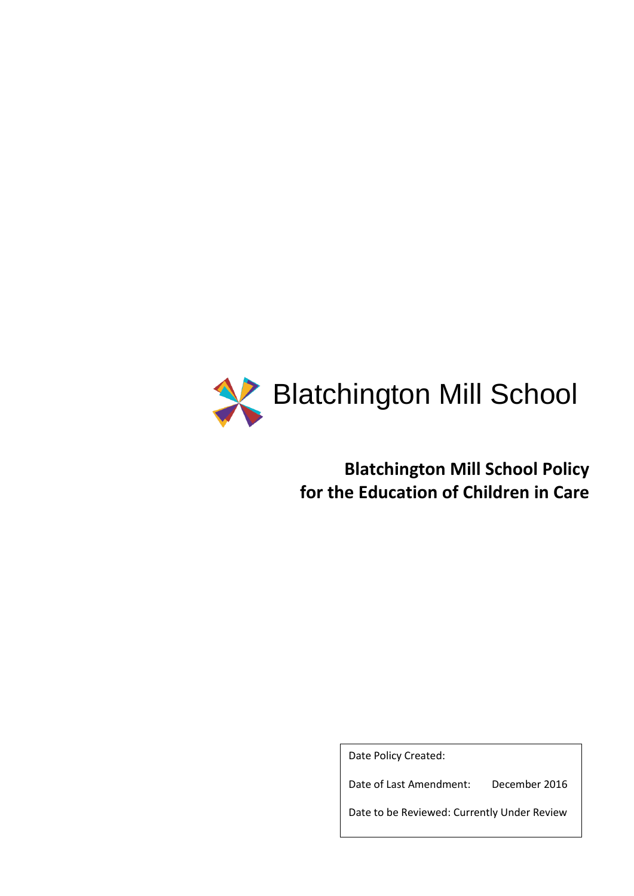

**Blatchington Mill School Policy for the Education of Children in Care**

Date Policy Created:

Date of Last Amendment: December 2016

Date to be Reviewed: Currently Under Review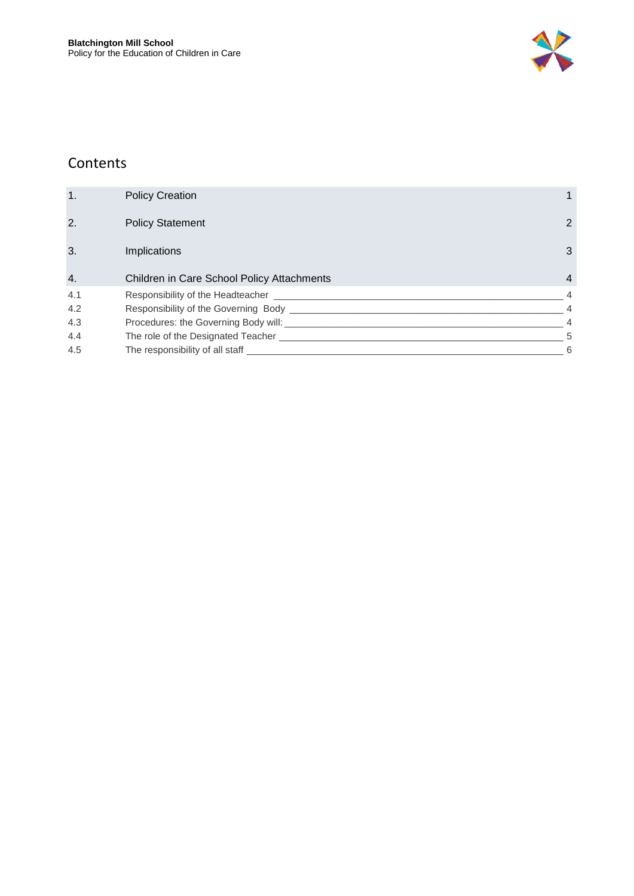

### Contents

| 1.  | <b>Policy Creation</b>                         |                |
|-----|------------------------------------------------|----------------|
| 2.  | <b>Policy Statement</b>                        | $\overline{2}$ |
| 3.  | <b>Implications</b>                            | 3              |
| 4.  | Children in Care School Policy Attachments     | $\overline{4}$ |
| 4.1 | Responsibility of the Headteacher              | 4              |
| 4.2 | Responsibility of the Governing Body _         | $\overline{4}$ |
| 4.3 | Procedures: the Governing Body will: _________ | $\overline{4}$ |
| 4.4 |                                                | 5              |
| 4.5 | The responsibility of all staff                | 6              |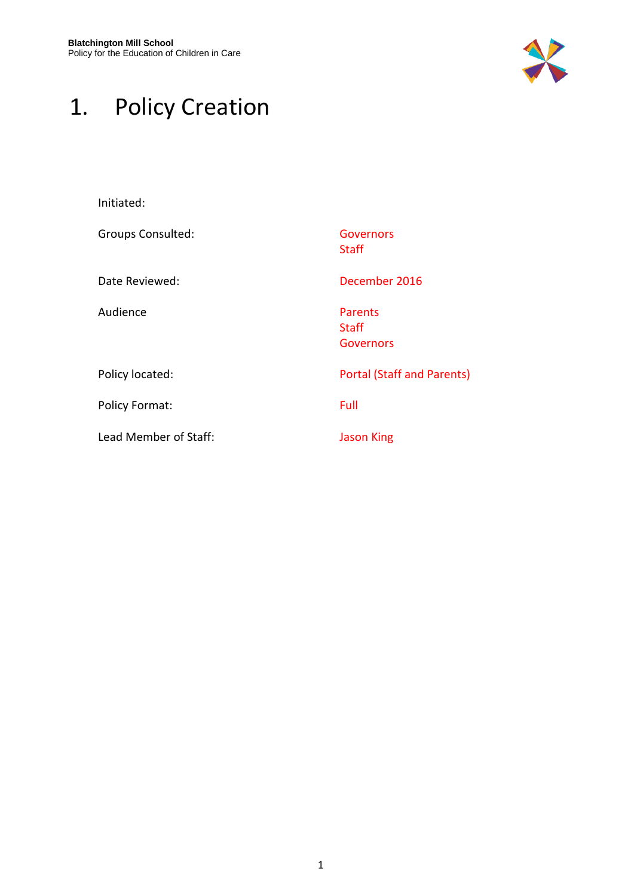

# <span id="page-3-0"></span>1. Policy Creation

| Initiated:            |                                                    |
|-----------------------|----------------------------------------------------|
| Groups Consulted:     | Governors<br><b>Staff</b>                          |
| Date Reviewed:        | December 2016                                      |
| Audience              | <b>Parents</b><br><b>Staff</b><br><b>Governors</b> |
| Policy located:       | <b>Portal (Staff and Parents)</b>                  |
| <b>Policy Format:</b> | Full                                               |
| Lead Member of Staff: | <b>Jason King</b>                                  |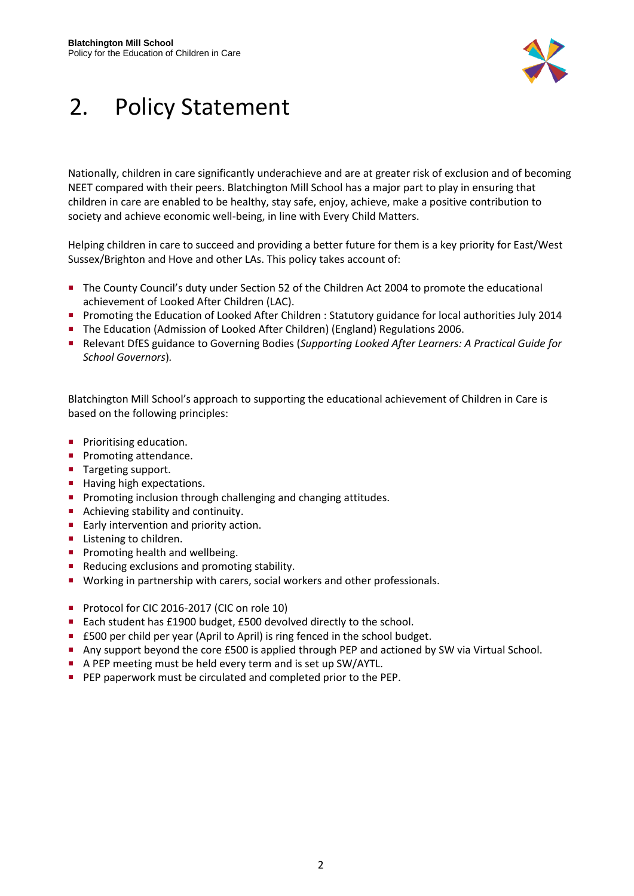

### <span id="page-4-0"></span>2. Policy Statement

Nationally, children in care significantly underachieve and are at greater risk of exclusion and of becoming NEET compared with their peers. Blatchington Mill School has a major part to play in ensuring that children in care are enabled to be healthy, stay safe, enjoy, achieve, make a positive contribution to society and achieve economic well-being, in line with Every Child Matters.

Helping children in care to succeed and providing a better future for them is a key priority for East/West Sussex/Brighton and Hove and other LAs. This policy takes account of:

- The County Council's duty under Section 52 of the Children Act 2004 to promote the educational achievement of Looked After Children (LAC).
- **Promoting the Education of Looked After Children : Statutory guidance for local authorities July 2014**
- **The Education (Admission of Looked After Children) (England) Regulations 2006.**
- Relevant DfES guidance to Governing Bodies (*Supporting Looked After Learners: A Practical Guide for School Governors*)*.*

Blatchington Mill School's approach to supporting the educational achievement of Children in Care is based on the following principles:

- **Prioritising education.**
- **Promoting attendance.**
- Targeting support.
- **Having high expectations.**
- **Promoting inclusion through challenging and changing attitudes.**
- Achieving stability and continuity.
- **Early intervention and priority action.**
- **Listening to children.**
- **Promoting health and wellbeing.**
- Reducing exclusions and promoting stability.
- **Working in partnership with carers, social workers and other professionals.**
- Protocol for CIC 2016-2017 (CIC on role 10)
- Each student has £1900 budget, £500 devolved directly to the school.
- £500 per child per year (April to April) is ring fenced in the school budget.
- Any support beyond the core £500 is applied through PEP and actioned by SW via Virtual School.
- A PEP meeting must be held every term and is set up SW/AYTL.
- **PEP paperwork must be circulated and completed prior to the PEP.**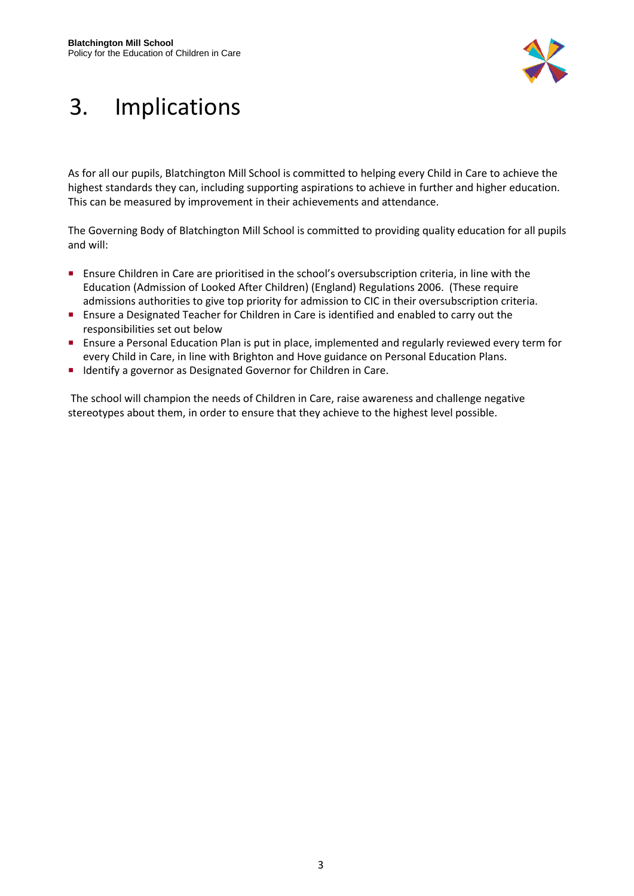

## <span id="page-5-0"></span>3. Implications

As for all our pupils, Blatchington Mill School is committed to helping every Child in Care to achieve the highest standards they can, including supporting aspirations to achieve in further and higher education. This can be measured by improvement in their achievements and attendance.

The Governing Body of Blatchington Mill School is committed to providing quality education for all pupils and will:

- Ensure Children in Care are prioritised in the school's oversubscription criteria, in line with the Education (Admission of Looked After Children) (England) Regulations 2006. (These require admissions authorities to give top priority for admission to CIC in their oversubscription criteria.
- **Ensure a Designated Teacher for Children in Care is identified and enabled to carry out the** responsibilities set out below
- **Ensure a Personal Education Plan is put in place, implemented and regularly reviewed every term for** every Child in Care, in line with Brighton and Hove guidance on Personal Education Plans.
- **IDENTIFY** a governor as Designated Governor for Children in Care.

The school will champion the needs of Children in Care, raise awareness and challenge negative stereotypes about them, in order to ensure that they achieve to the highest level possible.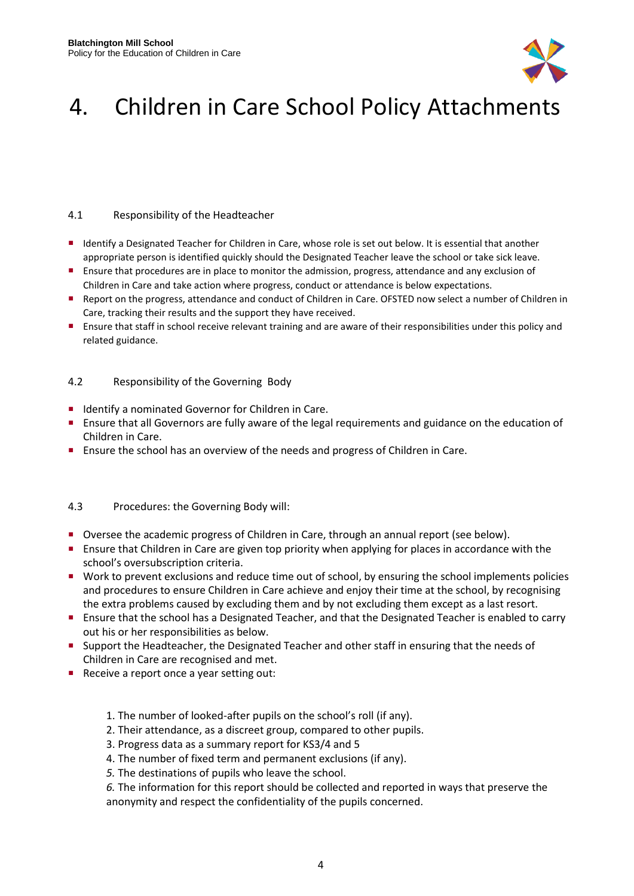

## <span id="page-6-0"></span>4. Children in Care School Policy Attachments

#### <span id="page-6-1"></span>4.1 Responsibility of the Headteacher

- Identify a Designated Teacher for Children in Care, whose role is set out below. It is essential that another appropriate person is identified quickly should the Designated Teacher leave the school or take sick leave.
- Ensure that procedures are in place to monitor the admission, progress, attendance and any exclusion of Children in Care and take action where progress, conduct or attendance is below expectations.
- Report on the progress, attendance and conduct of Children in Care. OFSTED now select a number of Children in Care, tracking their results and the support they have received.
- Ensure that staff in school receive relevant training and are aware of their responsibilities under this policy and related guidance.

#### <span id="page-6-2"></span>4.2 Responsibility of the Governing Body

- **If** Identify a nominated Governor for Children in Care.
- Ensure that all Governors are fully aware of the legal requirements and guidance on the education of Children in Care.
- **Ensure the school has an overview of the needs and progress of Children in Care.**

#### <span id="page-6-3"></span>4.3 Procedures: the Governing Body will:

- Oversee the academic progress of Children in Care, through an annual report (see below).
- Ensure that Children in Care are given top priority when applying for places in accordance with the school's oversubscription criteria.
- Work to prevent exclusions and reduce time out of school, by ensuring the school implements policies and procedures to ensure Children in Care achieve and enjoy their time at the school, by recognising the extra problems caused by excluding them and by not excluding them except as a last resort.
- Ensure that the school has a Designated Teacher, and that the Designated Teacher is enabled to carry out his or her responsibilities as below.
- **Support the Headteacher, the Designated Teacher and other staff in ensuring that the needs of** Children in Care are recognised and met.
- Receive a report once a year setting out:
	- 1. The number of looked-after pupils on the school's roll (if any).
	- 2. Their attendance, as a discreet group, compared to other pupils.
	- 3. Progress data as a summary report for KS3/4 and 5
	- 4. The number of fixed term and permanent exclusions (if any).
	- *5.* The destinations of pupils who leave the school.

*6.* The information for this report should be collected and reported in ways that preserve the anonymity and respect the confidentiality of the pupils concerned.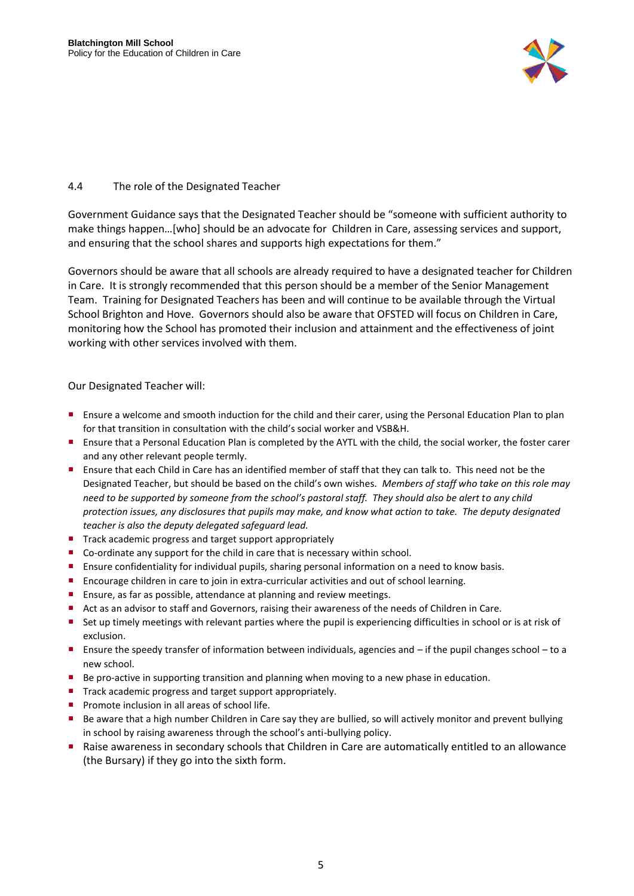

#### <span id="page-7-0"></span>4.4 The role of the Designated Teacher

Government Guidance says that the Designated Teacher should be "someone with sufficient authority to make things happen…[who] should be an advocate for Children in Care, assessing services and support, and ensuring that the school shares and supports high expectations for them."

Governors should be aware that all schools are already required to have a designated teacher for Children in Care. It is strongly recommended that this person should be a member of the Senior Management Team. Training for Designated Teachers has been and will continue to be available through the Virtual School Brighton and Hove. Governors should also be aware that OFSTED will focus on Children in Care, monitoring how the School has promoted their inclusion and attainment and the effectiveness of joint working with other services involved with them.

#### Our Designated Teacher will:

- Ensure a welcome and smooth induction for the child and their carer, using the Personal Education Plan to plan for that transition in consultation with the child's social worker and VSB&H.
- Ensure that a Personal Education Plan is completed by the AYTL with the child, the social worker, the foster carer and any other relevant people termly.
- Ensure that each Child in Care has an identified member of staff that they can talk to. This need not be the Designated Teacher, but should be based on the child's own wishes. *Members of staff who take on this role may need to be supported by someone from the school's pastoral staff. They should also be alert to any child protection issues, any disclosures that pupils may make, and know what action to take. The deputy designated teacher is also the deputy delegated safeguard lead.*
- Track academic progress and target support appropriately
- Co-ordinate any support for the child in care that is necessary within school.
- Ensure confidentiality for individual pupils, sharing personal information on a need to know basis.
- Encourage children in care to join in extra-curricular activities and out of school learning.
- **Ensure, as far as possible, attendance at planning and review meetings.**
- Act as an advisor to staff and Governors, raising their awareness of the needs of Children in Care.
- Set up timely meetings with relevant parties where the pupil is experiencing difficulties in school or is at risk of exclusion.
- Ensure the speedy transfer of information between individuals, agencies and if the pupil changes school to a new school.
- Be pro-active in supporting transition and planning when moving to a new phase in education.
- Track academic progress and target support appropriately.
- Promote inclusion in all areas of school life.
- Be aware that a high number Children in Care say they are bullied, so will actively monitor and prevent bullying in school by raising awareness through the school's anti-bullying policy.
- Raise awareness in secondary schools that Children in Care are automatically entitled to an allowance (the Bursary) if they go into the sixth form.